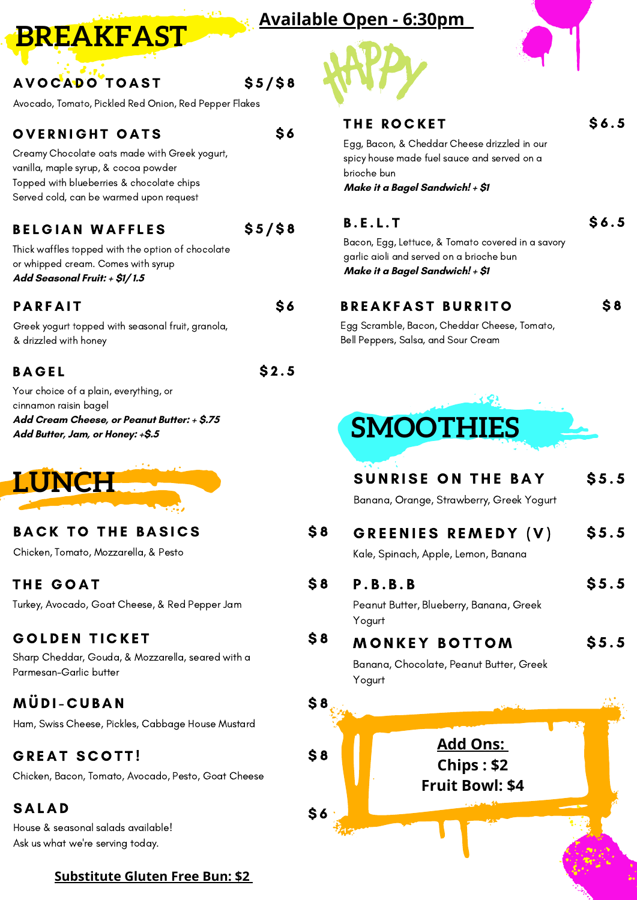#### **Available Open - 6:30pm**

\$ 5 / \$ 8

 $$5/$8$ 

\$ 6

 $$2.5$ 

\$ 8

\$ 8

\$ 8

\$ 8

\$ 8

\$ 6

\$ 6



#### A V O C A D O T O A S T

**BREAKFAST**

Avocado, Tomato, Pickled Red Onion, Red Pepper Flakes

#### **OVERNIGHT OATS**

Creamy Chocolate oats made with Greek yogurt, vanilla, maple syrup, & cocoa powder Topped with blueberries & chocolate chips Served cold, can be warmed upon request

#### **BELGIAN WAFFLES**

Thick waffles topped with the option of chocolate or whipped cream. Comes with syrup **Add Seasonal Fruit: + \$1/ 1.5**

#### **PARFAIT**

Greek yogurt topped with seasonal fruit, granola, & drizzled with honey

#### **BAGEL**

Your choice of a plain, everything, or cinnamon raisin bagel **Add Cream Cheese, or Peanut Butter: + \$.75 Add Butter, Jam, or Honey: +\$.5**



#### **BACK TO THE BASICS**

Chicken, Tomato, Mozzarella, & Pesto

#### THE GOAT

Turkey, Avocado, Goat Cheese, & Red Pepper Jam

#### GOLDEN TICKET

Sharp Cheddar, Gouda, & Mozzarella, seared with a Parmesan-Garlic butter

#### M Ü D I - C U B A N

Ham, Swiss Cheese, Pickles, Cabbage House Mustard

#### **GREAT SCOTT!**

Chicken, Bacon, Tomato, Avocado, Pesto, Goat Cheese

#### **SALAD**

House & seasonal salads available! Ask us what we're serving today.

#### **Substitute Gluten Free Bun: \$2**



#### THE ROCKET

\$ 6 . 5

Egg, Bacon, & Cheddar Cheese drizzled in our spicy house made fuel sauce and served on a brioche bun **Make it a Bagel Sandwich! + \$1**

#### B . E . L . T

Bacon, Egg, Lettuce, & Tomato covered in a savory garlic aioli and served on a brioche bun **Make it a Bagel Sandwich! + \$1**

#### **BREAKFAST BURRITO**

\$ 8

\$ 6 . 5

Egg Scramble, Bacon, Cheddar Cheese, Tomato, Bell Peppers, Salsa, and Sour Cream

# **SMOOTHIES**

| <b>SUNRISE ON THE BAY</b><br>Banana, Orange, Strawberry, Greek Yogurt     | \$5.5 |
|---------------------------------------------------------------------------|-------|
| GREENIES REMEDY (V)<br>Kale, Spinach, Apple, Lemon, Banana                | \$5.5 |
| P.B.B.B<br>Peanut Butter, Blueberry, Banana, Greek<br>Yogurt              | \$5.5 |
| <b>MONKEY BOTTOM</b><br>Banana, Chocolate, Peanut Butter, Greek<br>Yogurt | \$5.5 |
| <u> Add Ons: </u>                                                         |       |
| Chips: \$2<br><b>Fruit Bowl: \$4</b>                                      |       |